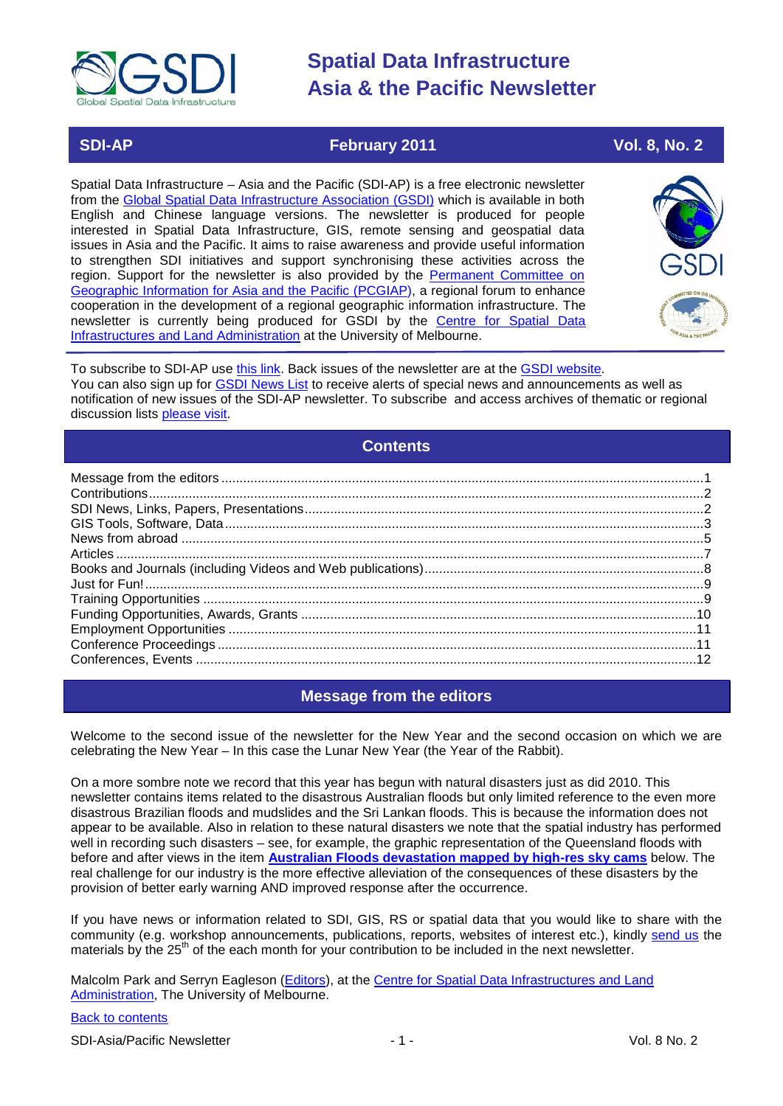

### **SDI-AP February 2011 Vol. 8, No. 2**

Spatial Data Infrastructure – Asia and the Pacific (SDI-AP) is a free electronic newsletter from the [Global Spatial Data Infrastructure Association \(GSDI\)](http://www.gsdi.org/) which is available in both English and Chinese language versions. The newsletter is produced for people interested in Spatial Data Infrastructure, GIS, remote sensing and geospatial data issues in Asia and the Pacific. It aims to raise awareness and provide useful information to strengthen SDI initiatives and support synchronising these activities across the region. Support for the newsletter is also provided by the Permanent Committee on [Geographic Information for Asia and the Pacific \(PCGIAP\)](http://www.pcgiap.org/), a regional forum to enhance cooperation in the development of a regional geographic information infrastructure. The newsletter is currently being produced for GSDI by the [Centre for Spatial Data](http://www.csdila.unimelb.edu.au/)  [Infrastructures and Land Administration](http://www.csdila.unimelb.edu.au/) at the University of Melbourne.



To subscribe to SDI-AP use [this link.](http://www.gsdi.org/newslist/gsdisubscribe.asp) Back issues of the newsletter are at the [GSDI website.](http://www.gsdi.org/newsletters.asp) You can also sign up for **GSDI News List** to receive alerts of special news and announcements as well as notification of new issues of the SDI-AP newsletter. To subscribe and access archives of thematic or regional discussion lists [please visit.](http://www.gsdi.org/discussionlists.asp)

### **Contents**

<span id="page-0-0"></span>

### **Message from the editors**

<span id="page-0-1"></span>Welcome to the second issue of the newsletter for the New Year and the second occasion on which we are celebrating the New Year – In this case the Lunar New Year (the Year of the Rabbit).

On a more sombre note we record that this year has begun with natural disasters just as did 2010. This newsletter contains items related to the disastrous Australian floods but only limited reference to the even more disastrous Brazilian floods and mudslides and the Sri Lankan floods. This is because the information does not appear to be available. Also in relation to these natural disasters we note that the spatial industry has performed well in recording such disasters – see, for example, the graphic representation of the Queensland floods with before and after views in the item **Australian Floods devastation mapped by high-res sky cams** below. The real challenge for our industry is the more effective alleviation of the consequences of these disasters by the provision of better early warning AND improved response after the occurrence.

If you have news or information related to SDI, GIS, RS or spatial data that you would like to share with the community (e.g. workshop announcements, publications, reports, websites of interest etc.), kindly [send us](mailto:.SDI-AP@gsdi.org) the materials by the 25<sup>th</sup> of the each month for your contribution to be included in the next newsletter.

Malcolm Park and Serryn Eagleson [\(Editors\)](mailto:Editor.SDIAP@gmail.com), at the [Centre for Spatial Data Infrastructures and Land](http://www.csdila.unimelb.edu.au/)  [Administration,](http://www.csdila.unimelb.edu.au/) The University of Melbourne.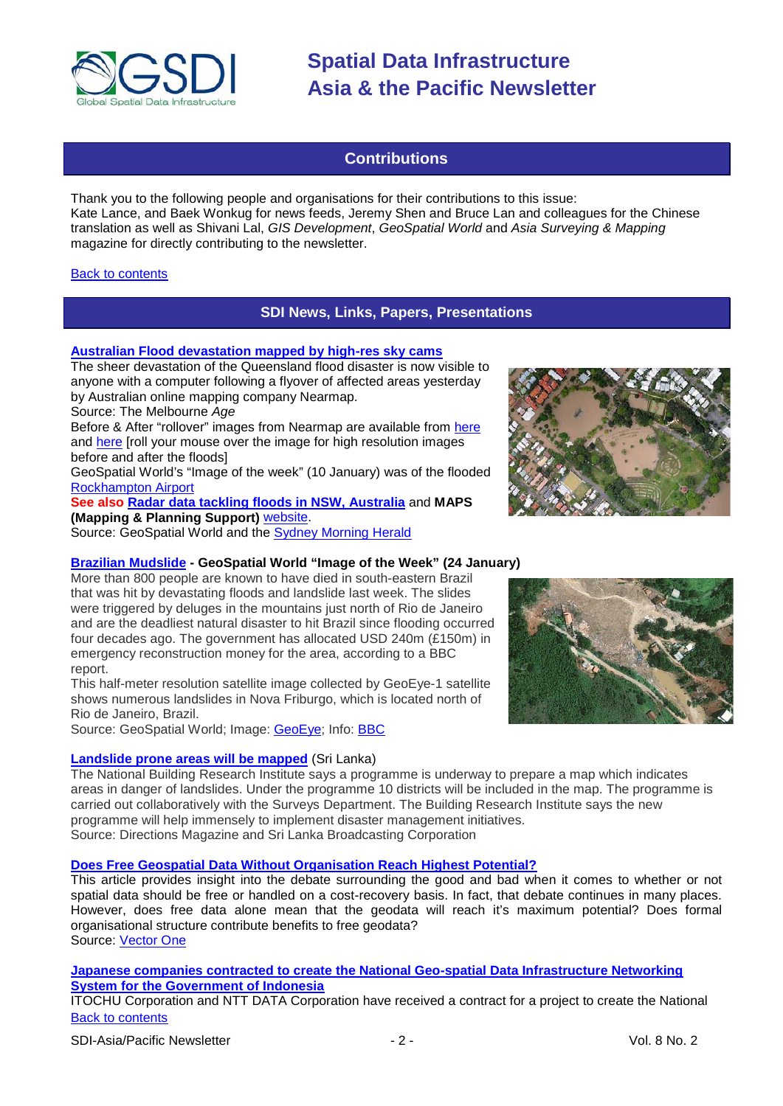

### **Contributions**

<span id="page-1-0"></span>Thank you to the following people and organisations for their contributions to this issue: Kate Lance, and Baek Wonkug for news feeds, Jeremy Shen and Bruce Lan and colleagues for the Chinese translation as well as Shivani Lal, *GIS Development*, *GeoSpatial World* and *Asia Surveying & Mapping* magazine for directly contributing to the newsletter.

### <span id="page-1-1"></span>**[Back to contents](#page-0-0)**

### **SDI News, Links, Papers, Presentations**

### **[Australian Flood devastation mapped by high-res sky cams](http://www.theage.com.au/technology/technology-news/flood-devastation-mapped-by-highres-sky-cams-20110114-19qer.html)**

The sheer devastation of the Queensland flood disaster is now visible to anyone with a computer following a flyover of affected areas yesterday by Australian online mapping company Nearmap.

Source: The Melbourne *Age*

Before & After "rollover" images from Nearmap are available from [here](http://www.abc.net.au/news/infographics/qld-floods/beforeafter.htm) and [here](http://www.abc.net.au/news/infographics/qld-floods/beforeafter2.htm) [roll your mouse over the image for high resolution images before and after the floods]

GeoSpatial World's "Image of the week" (10 January) was of the flooded [Rockhampton Airport](http://www.geospatialworld.net/index.php?option=com_imageoftheweek&view=managetemplate&id=15&Itemid=139&year=2011)

**See also [Radar data tackling floods in NSW, Australia](http://www.geospatialworld.net/index.php?option=com_content&view=article&id=21303%3Aradar-data-tackling-floods-in-nsw-australia&catid=53%3Aapplication-natural-hazard-management&Itemid=1)** and **MAPS (Mapping & Planning Support)** [website.](http://maps-group.org/pages/queensland-floods-2010-11)

Source: GeoSpatial World and the [Sydney Morning Herald](http://www.smh.com.au/environment/water-issues/eyes-in-the-sky-put-ses-a-step-ahead-of-flows-20101210-18sx1.html)

### **[Brazilian Mudslide](http://www.geospatialworld.net/index.php?option=com_imageoftheweek&view=managetemplate&id=16&Itemid=139&year=2011) - GeoSpatial World "Image of the Week" (24 January)**

More than 800 people are known to have died in south-eastern Brazil that was hit by devastating floods and landslide last week. The slides were triggered by deluges in the mountains just north of Rio de Janeiro and are the deadliest natural disaster to hit Brazil since flooding occurred four decades ago. The government has allocated USD 240m (£150m) in emergency reconstruction money for the area, according to a BBC report.

This half-meter resolution satellite image collected by GeoEye-1 satellite shows numerous landslides in Nova Friburgo, which is located north of Rio de Janeiro, Brazil.

Source: GeoSpatial World; Image: [GeoEye;](http://www.geoeye.com/CorpSite/gallery/detail.aspx?iid=357&gid=1) Info: [BBC](http://www.bbc.co.uk/news/world-latin-america-12263166)

### **[Landslide prone areas will be mapped](http://www.slbc.lk/index.php/component/content/article/1-latest-news/5594-landslide-prone-areas-will-be-mapped-)** (Sri Lanka)



The National Building Research Institute says a programme is underway to prepare a map which indicates areas in danger of landslides. Under the programme 10 districts will be included in the map. The programme is carried out collaboratively with the Surveys Department. The Building Research Institute says the new programme will help immensely to implement disaster management initiatives. Source: Directions Magazine and Sri Lanka Broadcasting Corporation

### **[Does Free Geospatial Data Without Organisation Reach Highest Potential?](http://www.vector1media.com/vectorone/?p=7149)**

This article provides insight into the debate surrounding the good and bad when it comes to whether or not spatial data should be free or handled on a cost-recovery basis. In fact, that debate continues in many places. However, does free data alone mean that the geodata will reach it's maximum potential? Does formal organisational structure contribute benefits to free geodata? Source: [Vector One](http://www.vector1media.com/vectorone/?p=7149)

**[Japanese companies contracted to create the National Geo-spatial Data Infrastructure Networking](http://www.itochu.co.jp/en/news/2010/101220_02.html)  [System for the Government of Indonesia](http://www.itochu.co.jp/en/news/2010/101220_02.html)**

[Back to contents](#page-0-0) ITOCHU Corporation and NTT DATA Corporation have received a contract for a project to create the National

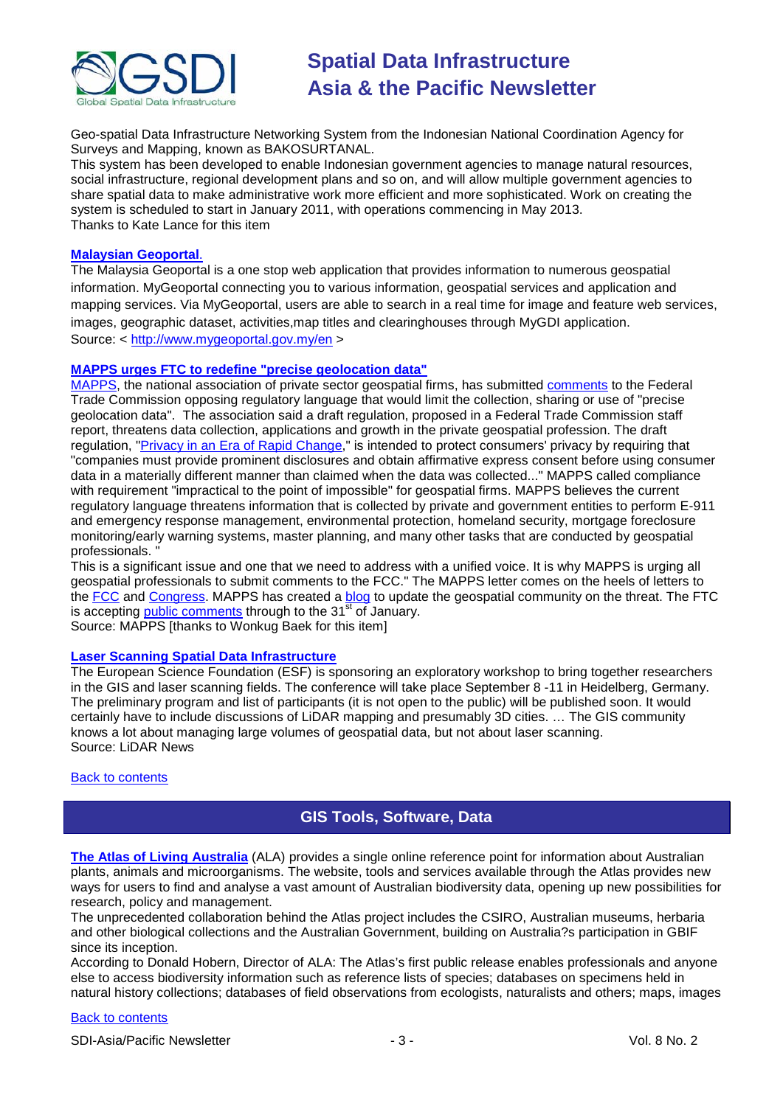

Geo-spatial Data Infrastructure Networking System from the Indonesian National Coordination Agency for Surveys and Mapping, known as BAKOSURTANAL.

This system has been developed to enable Indonesian government agencies to manage natural resources, social infrastructure, regional development plans and so on, and will allow multiple government agencies to share spatial data to make administrative work more efficient and more sophisticated. Work on creating the system is scheduled to start in January 2011, with operations commencing in May 2013. Thanks to Kate Lance for this item

### **[Malaysian Geoportal](http://www.mygeoportal.gov.my/en)**.

The Malaysia Geoportal is a one stop web application that provides information to numerous geospatial information. MyGeoportal connecting you to various information, geospatial services and application and mapping services. Via MyGeoportal, users are able to search in a real time for image and feature web services, images, geographic dataset, activities,map titles and clearinghouses through MyGDI application. Source: <<http://www.mygeoportal.gov.my/en> >

### **[MAPPS urges FTC to redefine "precise geolocation data"](http://www.mapps.org/news/Press.cfm?PressID=166)**

[MAPPS,](http://www.mapps.org/) the national association of private sector geospatial firms, has submitted [comments](http://www.mapps.org/issues/MAPPS_Letter_to_FTC_1-4-11.pdf) to the Federal Trade Commission opposing regulatory language that would limit the collection, sharing or use of "precise geolocation data". The association said a draft regulation, proposed in a Federal Trade Commission staff report, threatens data collection, applications and growth in the private geospatial profession. The draft regulation, ["Privacy in an Era of Rapid Change,](http://www.ftc.gov/os/2010/12/101201privacyreport.pdf)" is intended to protect consumers' privacy by requiring that "companies must provide prominent disclosures and obtain affirmative express consent before using consumer data in a materially different manner than claimed when the data was collected..." MAPPS called compliance with requirement "impractical to the point of impossible" for geospatial firms. MAPPS believes the current regulatory language threatens information that is collected by private and government entities to perform E-911 and emergency response management, environmental protection, homeland security, mortgage foreclosure monitoring/early warning systems, master planning, and many other tasks that are conducted by geospatial professionals. "

This is a significant issue and one that we need to address with a unified voice. It is why MAPPS is urging all geospatial professionals to submit comments to the FCC." The MAPPS letter comes on the heels of letters to the [FCC](http://www.mapps.org/issues/MAPPS_Letter_to_FCC_11-12-10.pdf) and [Congress.](http://www.mapps.org/issues/MAPPS_Letter_to_Rep_Boucher_7-14-10.pdf) MAPPS has created a [blog](http://mappsorg.blogspot.com/) to update the geospatial community on the threat. The FTC is accepting [public comments](https://ftcpublic.commentworks.com/ftc/consumerprivacyreport/) through to the  $31^{\frac{st}{st}}$  of January.

Source: MAPPS [thanks to Wonkug Baek for this item]

### **[Laser Scanning Spatial Data Infrastructure](http://blog.lidarnews.com/laser-scanning-spatial-data-infrastructure?utm_source=feedburner&utm_medium=email&utm_campaign=Feed%3A+InTheScan+%28LiDAR+News%29)**

The European Science Foundation (ESF) is sponsoring an exploratory workshop to bring together researchers in the GIS and laser scanning fields. The [conference w](http://www.esf.org/activities/exploratory-workshops/life-earth-and-environmental-sciences-lesc/workshops-detail.html?ew=10837)ill take place September 8 -11 in Heidelberg, Germany. The preliminary program and list of participants (it is not open to the public) will be published soon. It would certainly have to include discussions of LiDAR mapping and presumably 3D cities. … The GIS community knows a lot about managing large volumes of geospatial data, but not about laser scanning. Source: LiDAR News

### <span id="page-2-0"></span>[Back to contents](#page-0-0)

### **GIS Tools, Software, Data**

**[The Atlas of Living Australia](http://www.ala.org.au/)** (ALA) provides a single online reference point for information about Australian plants, animals and microorganisms. The website, tools and services available through the Atlas provides new ways for users to find and analyse a vast amount of Australian biodiversity data, opening up new possibilities for research, policy and management.

The unprecedented collaboration behind the Atlas project includes the CSIRO, Australian museums, herbaria and other biological collections and the Australian Government, building on Australia?s participation in GBIF since its inception.

According to Donald Hobern, Director of ALA: The Atlas's first public release enables professionals and anyone else to access biodiversity information such as reference lists of species; databases on specimens held in natural history collections; databases of field observations from ecologists, naturalists and others; maps, images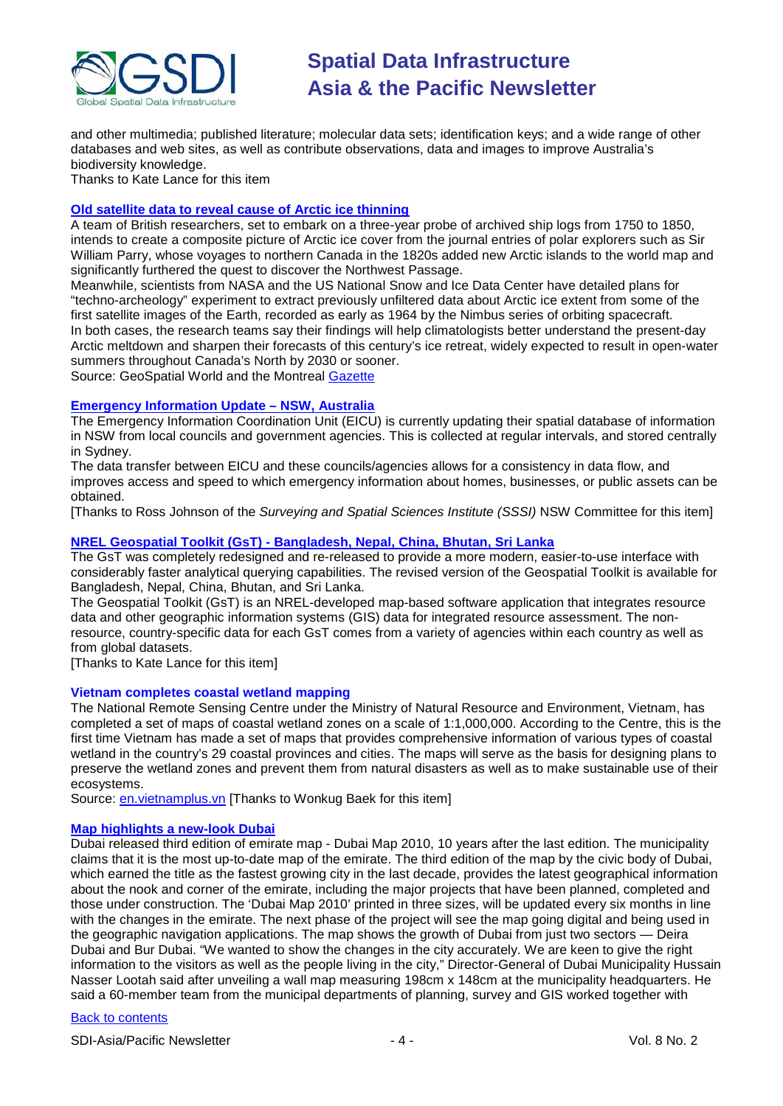

and other multimedia; published literature; molecular data sets; identification keys; and a wide range of other databases and web sites, as well as contribute observations, data and images to improve Australia's biodiversity knowledge.

Thanks to Kate Lance for this item

### **[Old satellite data to reveal cause of Arctic ice thinning](http://www.geospatialworld.net/index.php?option=com_content&view=article&id=21284%3Aold-satellite-data-to-reveal-cause-of-arctic-ice-thinning&catid=53%3Aapplication-natural-hazard-management&Itemid=1)**

A team of British researchers, set to embark on a three-year probe of archived ship logs from 1750 to 1850, intends to create a composite picture of Arctic ice cover from the journal entries of polar explorers such as Sir William Parry, whose voyages to northern Canada in the 1820s added new Arctic islands to the world map and significantly furthered the quest to discover the Northwest Passage.

Meanwhile, scientists from NASA and the US National Snow and Ice Data Center have detailed plans for "techno-archeology" experiment to extract previously unfiltered data about Arctic ice extent from some of the first satellite images of the Earth, recorded as early as 1964 by the Nimbus series of orbiting spacecraft. In both cases, the research teams say their findings will help climatologists better understand the present-day Arctic meltdown and sharpen their forecasts of this century's ice retreat, widely expected to result in open-water summers throughout Canada's North by 2030 or sooner.

Source: GeoSpatial World and the Montreal [Gazette](http://www.montrealgazette.com/technology/satellite+data+ships+logbooks+could+reveal+history+Arctic/4049610/story.html)

### **[Emergency Information Update –](http://www.lpma.nsw.gov.au/about_us/eicu) NSW, Australia**

The Emergency Information Coordination Unit (EICU) is currently updating their spatial database of information in NSW from local councils and government agencies. This is collected at regular intervals, and stored centrally in Sydney.

The data transfer between EICU and these councils/agencies allows for a consistency in data flow, and improves access and speed to which emergency information about homes, businesses, or public assets can be obtained.

[Thanks to Ross Johnson of the *Surveying and Spatial Sciences Institute (SSSI)* NSW Committee for this item]

### **NREL Geospatial Toolkit (GsT) - [Bangladesh, Nepal, China, Bhutan, Sri Lanka](http://www.nrel.gov/international/geospatial_toolkits.html)**

The GsT was completely redesigned and re-released to provide a more modern, easier-to-use interface with considerably faster analytical querying capabilities. The revised version of the Geospatial Toolkit is available for Bangladesh, Nepal, China, Bhutan, and Sri Lanka.

The Geospatial Toolkit (GsT) is an NREL-developed map-based software application that integrates resource data and other geographic information systems (GIS) data for integrated resource assessment. The nonresource, country-specific data for each GsT comes from a variety of agencies within each country as well as from global datasets.

[Thanks to Kate Lance for this item]

### **Vietnam completes coastal wetland mapping**

The National Remote Sensing Centre under the Ministry of Natural Resource and Environment, Vietnam, has completed a set of maps of coastal wetland zones on a scale of 1:1,000,000. According to the Centre, this is the first time Vietnam has made a set of maps that provides comprehensive information of various types of coastal wetland in the country's 29 coastal provinces and cities. The maps will serve as the basis for designing plans to preserve the wetland zones and prevent them from natural disasters as well as to make sustainable use of their ecosystems.

Source: [en.vietnamplus.vn](http://en.vietnamplus.vn/Home/Vietnam-completes-coastal-wetland-mapping/20111/15167.vnplus) [Thanks to Wonkug Baek for this item]

### **[Map highlights a new-look Dubai](http://www.khaleejtimes.com/DisplayArticle.asp?xfile=data/theuae/2011/January/theuae_January301.xml§ion=theuae&col=)**

Dubai released third edition of emirate map - Dubai Map 2010, 10 years after the last edition. The municipality claims that it is the most up-to-date map of the emirate. The third edition of the map by the civic body of Dubai, which earned the title as the fastest growing city in the last decade, provides the latest geographical information about the nook and corner of the emirate, including the major projects that have been planned, completed and those under construction. The 'Dubai Map 2010' printed in three sizes, will be updated every six months in line with the changes in the emirate. The next phase of the project will see the map going digital and being used in the geographic navigation applications. The map shows the growth of Dubai from just two sectors — Deira Dubai and Bur Dubai. "We wanted to show the changes in the city accurately. We are keen to give the right information to the visitors as well as the people living in the city," Director-General of Dubai Municipality Hussain Nasser Lootah said after unveiling a wall map measuring 198cm x 148cm at the municipality headquarters. He said a 60-member team from the municipal departments of planning, survey and GIS worked together with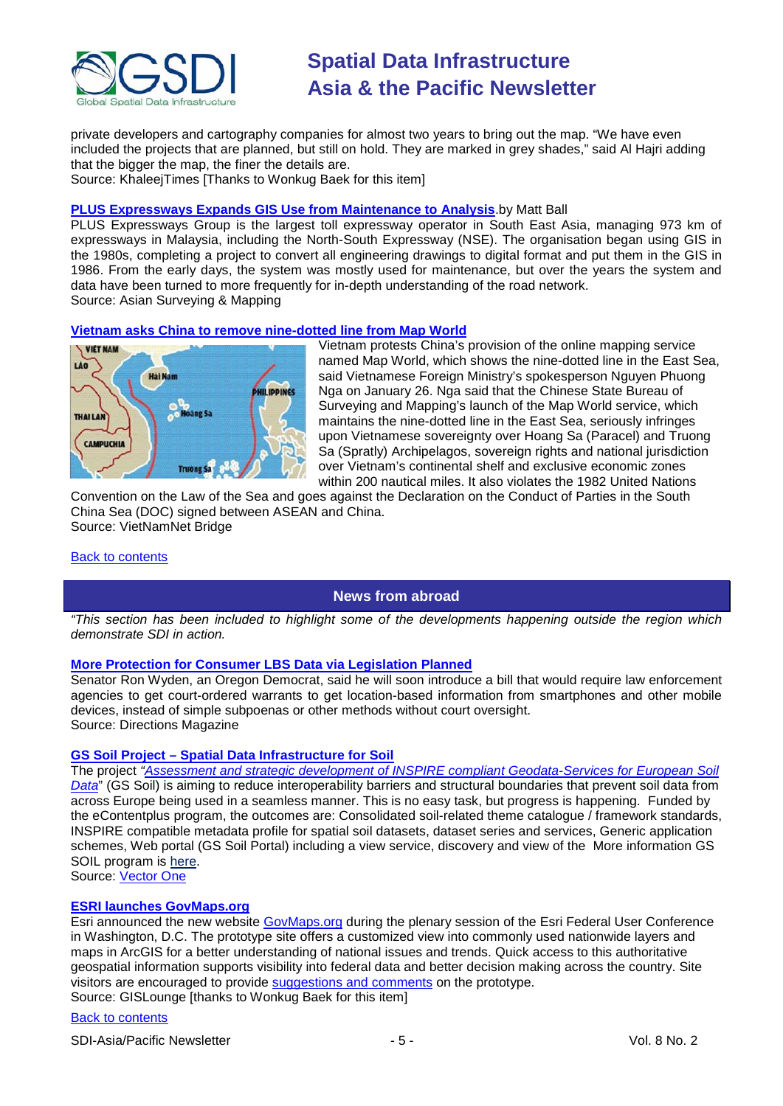

private developers and cartography companies for almost two years to bring out the map. "We have even included the projects that are planned, but still on hold. They are marked in grey shades," said Al Hajri adding that the bigger the map, the finer the details are.

Source: KhaleejTimes [Thanks to Wonkug Baek for this item]

### **[PLUS Expressways Expands GIS Use from Maintenance to Analysis](http://www.asmmag.com/features/feature/plus-expressways-expands-gis-use-from-maintenance-to-analysis-2801539)**.by Matt Ball

PLUS Expressways Group is the largest toll expressway operator in South East Asia, managing 973 km of expressways in Malaysia, including the North-South Expressway (NSE). The organisation began using GIS in the 1980s, completing a project to convert all engineering drawings to digital format and put them in the GIS in 1986. From the early days, the system was mostly used for maintenance, but over the years the system and data have been turned to more frequently for in-depth understanding of the road network. Source: Asian Surveying & Mapping

### **[Vietnam asks China to remove nine-dotted line from Map World](http://english.vietnamnet.vn/en/politics/4368/vietnam-asks-china-to-remove-nine-dotted-line-from-map-world.html)**



Vietnam protests China's provision of the online mapping service named Map World, which shows the nine-dotted line in the East Sea, said Vietnamese Foreign Ministry's spokesperson Nguyen Phuong Nga on January 26. Nga said that the Chinese State Bureau of Surveying and Mapping's launch of the Map World service, which maintains the nine-dotted line in the East Sea, seriously infringes upon Vietnamese sovereignty over Hoang Sa (Paracel) and Truong Sa (Spratly) Archipelagos, sovereign rights and national jurisdiction over Vietnam's continental shelf and exclusive economic zones within 200 nautical miles. It also violates the 1982 United Nations

Convention on the Law of the Sea and goes against the Declaration on the Conduct of Parties in the South China Sea (DOC) signed between ASEAN and China. Source: VietNamNet Bridge

### <span id="page-4-0"></span>[Back to contents](#page-0-0)

### **News from abroad**

*"This section has been included to highlight some of the developments happening outside the region which demonstrate SDI in action.*

### **[More Protection for Consumer LBS Data via Legislation Planned](http://apb.directionsmag.com/archives/9309-More-Protection-for-Consumer-LBS-Data-via-Legislation-Planned.html)**

Senator Ron Wyden, an Oregon Democrat, said he will soon introduce a bill that would require law enforcement agencies to get court-ordered warrants to get location-based information from smartphones and other mobile devices, instead of simple subpoenas or other methods without court oversight. Source: Directions Magazine

### **GS Soil Project – [Spatial Data Infrastructure for Soil](http://www.vector1media.com/vectorone/?p=5829)**

The project *["Assessment and strategic development of INSPIRE compliant Geodata-Services for European Soil](http://www.sbg.ac.at/zgis/gssoil/webdocs/inspire2010/GS%20SOIL_workshop_Inspire_conf_final.pdf)  [Data](http://www.sbg.ac.at/zgis/gssoil/webdocs/inspire2010/GS%20SOIL_workshop_Inspire_conf_final.pdf)*" (GS Soil) is aiming to reduce interoperability barriers and structural boundaries that prevent soil data from across Europe being used in a seamless manner. This is no easy task, but progress is happening. Funded by the eContentplus program, the outcomes are: Consolidated soil-related theme catalogue / framework standards, INSPIRE compatible metadata profile for spatial soil datasets, dataset series and services, Generic application schemes, Web portal (GS Soil Portal) including a view service, discovery and view of the More information GS SOIL program is [here.](http://www.gssoil.eu/) Source: [Vector One](http://www.vector1media.com/vectorone/?p=5829)

### **[ESRI launches GovMaps.org](http://gislounge.com/govmaps-org-launches/)**

Esri announced the new website GovMaps.org during the plenary session of the Esri Federal User Conference in Washington, D.C. The prototype site offers a customized view into commonly used nationwide layers and maps in ArcGIS for a better understanding of national issues and trends. Quick access to this authoritative geospatial information supports visibility into federal data and better decision making across the country. Site visitors are encouraged to provide [suggestions and comments](mailto:info@esri.com?subject=Comments%20About%20GovMaps.org) on the prototype. Source: GISLounge [thanks to Wonkug Baek for this item]

### [Back to contents](#page-0-0)

SDI-Asia/Pacific Newsletter  $\sim$  5 - Section 1.5 - Vol. 8 No. 2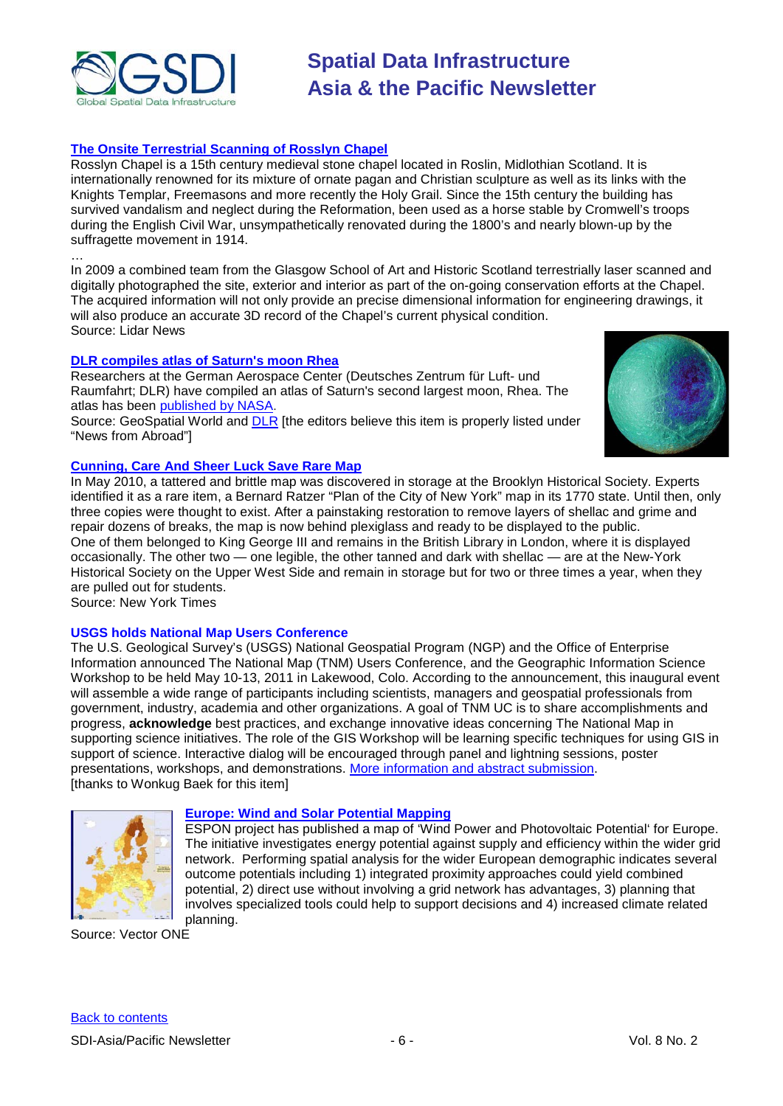

### **[The Onsite Terrestrial Scanning of Rosslyn Chapel](http://www.lidarnews.com/index.php?option=content&task=view&id=8153)**

Rosslyn Chapel is a 15th century medieval stone chapel located in Roslin, Midlothian Scotland. It is internationally renowned for its mixture of ornate pagan and Christian sculpture as well as its links with the Knights Templar, Freemasons and more recently the Holy Grail. Since the 15th century the building has survived vandalism and neglect during the Reformation, been used as a horse stable by Cromwell's troops during the English Civil War, unsympathetically renovated during the 1800's and nearly blown-up by the suffragette movement in 1914.

… In 2009 a combined team from the Glasgow School of Art and Historic Scotland terrestrially laser scanned and digitally photographed the site, exterior and interior as part of the on-going conservation efforts at the Chapel. The acquired information will not only provide an precise dimensional information for engineering drawings, it will also produce an accurate 3D record of the Chapel's current physical condition. Source: Lidar News

### **[DLR compiles atlas of Saturn's moon Rhea](http://www.geospatialworld.net/index.php?option=com_content&view=article&id=21311%3Adlr-compiles-atlas-of-saturns-moon-rhea&catid=48%3Aproduct-cartography-map-publishing&Itemid=1)**

Researchers at the German Aerospace Center (Deutsches Zentrum für Luft- und Raumfahrt; DLR) have compiled an atlas of Saturn's second largest moon, Rhea. The atlas has been [published by NASA.](http://saturn.jpl.nasa.gov/photos/imagedetails/index.cfm?imageId=4206)

Source: GeoSpatial World and **DLR** [the editors believe this item is properly listed under "News from Abroad"]



### **[Cunning, Care And Sheer Luck Save Rare Map](http://www.nytimes.com/2011/01/17/nyregion/17map.html?_r=1&hp)**

In May 2010, a tattered and brittle map was discovered in storage at the Brooklyn Historical Society. Experts identified it as a rare item, a Bernard Ratzer "Plan of the City of New York" map in its 1770 state. Until then, only three copies were thought to exist. After a painstaking restoration to remove layers of shellac and grime and repair dozens of breaks, the map is now behind plexiglass and ready to be displayed to the public. One of them belonged to King George III and remains in the British Library in London, where it is displayed occasionally. The other two — one legible, the other tanned and dark with shellac — are at the New-York Historical Society on the Upper West Side and remain in storage but for two or three times a year, when they are pulled out for students.

Source: New York Times

### **USGS holds National Map Users Conference**

The U.S. Geological Survey's (USGS) National Geospatial Program (NGP) and the Office of Enterprise Information announced The National Map (TNM) Users Conference, and the Geographic Information Science Workshop to be held May 10-13, 2011 in Lakewood, Colo. According to the announcement, this inaugural event will assemble a wide range of participants including scientists, managers and geospatial professionals from government, industry, academia and other organizations. A goal of TNM UC is to share accomplishments and progress, **acknowledge** best practices, and exchange innovative ideas concerning The National Map in supporting science initiatives. The role of the GIS Workshop will be learning specific techniques for using GIS in support of science. Interactive dialog will be encouraged through panel and lightning sessions, poster presentations, workshops, and demonstrations. [More information and abstract submission.](http://nationalmap.gov/uc) [thanks to Wonkug Baek for this item]



### **[Europe: Wind and Solar Potential Mapping](http://www.vector1media.com/vectorone/?p=7226)**

ESPON project has published a map of ['Wind Power and Photovoltaic Potential'](http://www.espon.eu/main/Menu_Publications/Menu_MapsOfTheMonth/map1101.html) for Europe. The initiative investigates energy potential against supply and efficiency within the wider grid network. Performing spatial analysis for the wider European demographic indicates several outcome potentials including 1) integrated proximity approaches could yield combined potential, 2) direct use without involving a grid network has advantages, 3) planning that involves specialized tools could help to support decisions and 4) increased climate related planning.

Source: Vector ONE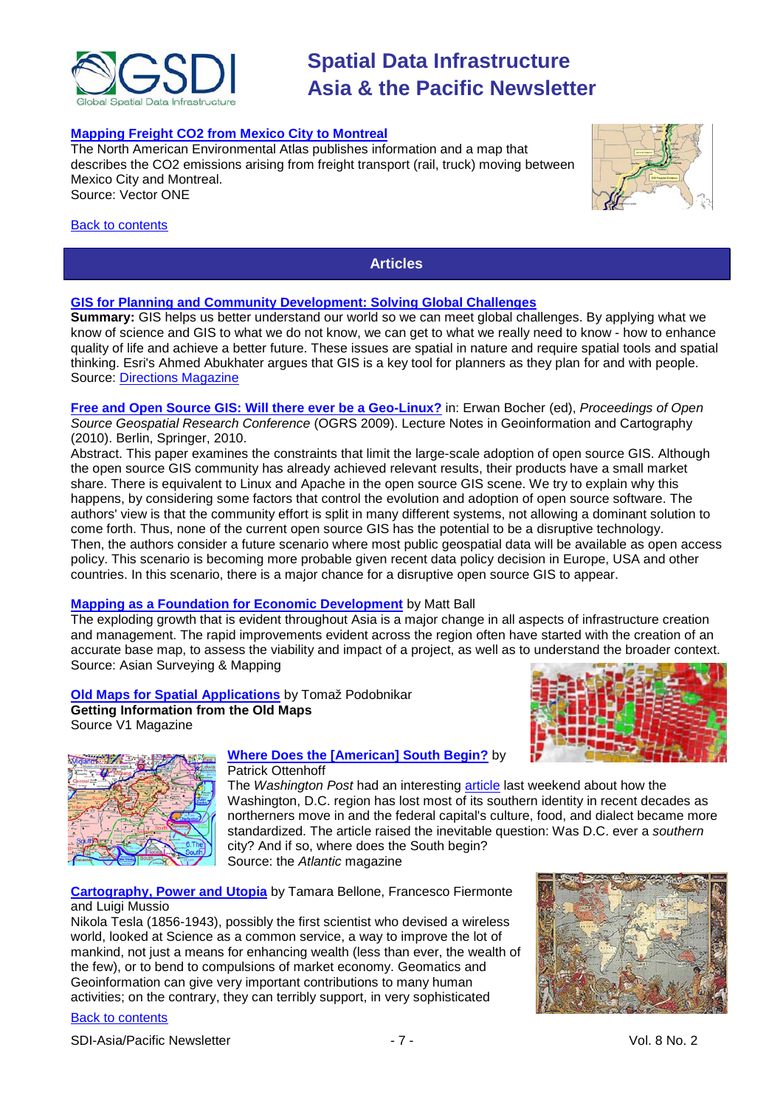

### **[Mapping Freight CO2 from Mexico City to Montreal](http://www.vector1media.com/vectorone/?p=7184)**

The [North American Environmental Atlas p](http://www.cec.org/Page.asp?PageID=924&SiteNodeID=495&AA_SiteLanguageID=1)ublishes information and a map that describes the CO2 emissions arising from freight transport (rail, truck) moving between Mexico City and Montreal. Source: Vector ONE

#### <span id="page-6-0"></span>[Back to contents](#page-0-0)

**Articles**

### **[GIS for Planning and Community Development: Solving Global Challenges](http://www.directionsmag.com/articles/gis-for-planning-and-community-development-solving-global-challenges/149245)**

**Summary:** GIS helps us better understand our world so we can meet global challenges. By applying what we know of science and GIS to what we do not know, we can get to what we really need to know - how to enhance quality of life and achieve a better future. These issues are spatial in nature and require spatial tools and spatial thinking. Esri's Ahmed Abukhater argues that GIS is a key tool for planners as they plan for and with people. Source: [Directions Magazine](http://www.directionsmag.com/articles/gis-for-planning-and-community-development-solving-global-challenges/149245)

**[Free and Open Source GIS: Will there ever be a Geo-Linux?](http://www.dpi.inpe.br/gilberto/papers/ogrs_camara.pdf)** in: Erwan Bocher (ed), *Proceedings of Open Source Geospatial Research Conference* (OGRS 2009). Lecture Notes in Geoinformation and Cartography (2010). Berlin, Springer, 2010.

Abstract. This paper examines the constraints that limit the large-scale adoption of open source GIS. Although the open source GIS community has already achieved relevant results, their products have a small market share. There is equivalent to Linux and Apache in the open source GIS scene. We try to explain why this happens, by considering some factors that control the evolution and adoption of open source software. The authors' view is that the community effort is split in many different systems, not allowing a dominant solution to come forth. Thus, none of the current open source GIS has the potential to be a disruptive technology. Then, the authors consider a future scenario where most public geospatial data will be available as open access policy. This scenario is becoming more probable given recent data policy decision in Europe, USA and other countries. In this scenario, there is a major chance for a disruptive open source GIS to appear.

### **[Mapping as a Foundation for Economic Development](http://www.asmmag.com/features/feature/mapping-as-a-foundation-for-economic-development-2701538)** by Matt Ball

The exploding growth that is evident throughout Asia is a major change in all aspects of infrastructure creation and management. The rapid improvements evident across the region often have started with the creation of an accurate base map, to assess the viability and impact of a project, as well as to understand the broader context. Source: Asian Surveying & Mapping

**[Old Maps for Spatial Applications](http://www.vector1media.com/article/feature/old-maps-for-spatial-applications-170117952)** by Tomaž Podobnikar **Getting Information from the Old Maps**







#### **[Where Does the \[American\] South Begin?](http://www.theatlantic.com/national/archive/2011/01/where-does-the-south-begin/70052/)** by Patrick Ottenhoff

The *Washington Post* had an interesting [article](http://www.washingtonpost.com/wp-dyn/content/article/2011/01/15/AR2011011503988.html) last weekend about how the Washington, D.C. region has lost most of its southern identity in recent decades as northerners move in and the federal capital's culture, food, and dialect became more standardized. The article raised the inevitable question: Was D.C. ever a *southern*  city? And if so, where does the South begin? Source: the *Atlantic* magazine

### **[Cartography, Power and Utopia](http://www.vector1media.com/article/feature/cartography-power-and-utopia-030117710)** by Tamara Bellone, Francesco Fiermonte and Luigi Mussio

Nikola Tesla (1856-1943), possibly the first scientist who devised a wireless world, looked at Science as a common service, a way to improve the lot of mankind, not just a means for enhancing wealth (less than ever, the wealth of the few), or to bend to compulsions of market economy. Geomatics and Geoinformation can give very important contributions to many human activities; on the contrary, they can terribly support, in very sophisticated

### [Back to contents](#page-0-0)

SDI-Asia/Pacific Newsletter  $\overline{7}$  - 7 -  $\overline{7}$  -  $\overline{7}$  -  $\overline{9}$  Vol. 8 No. 2

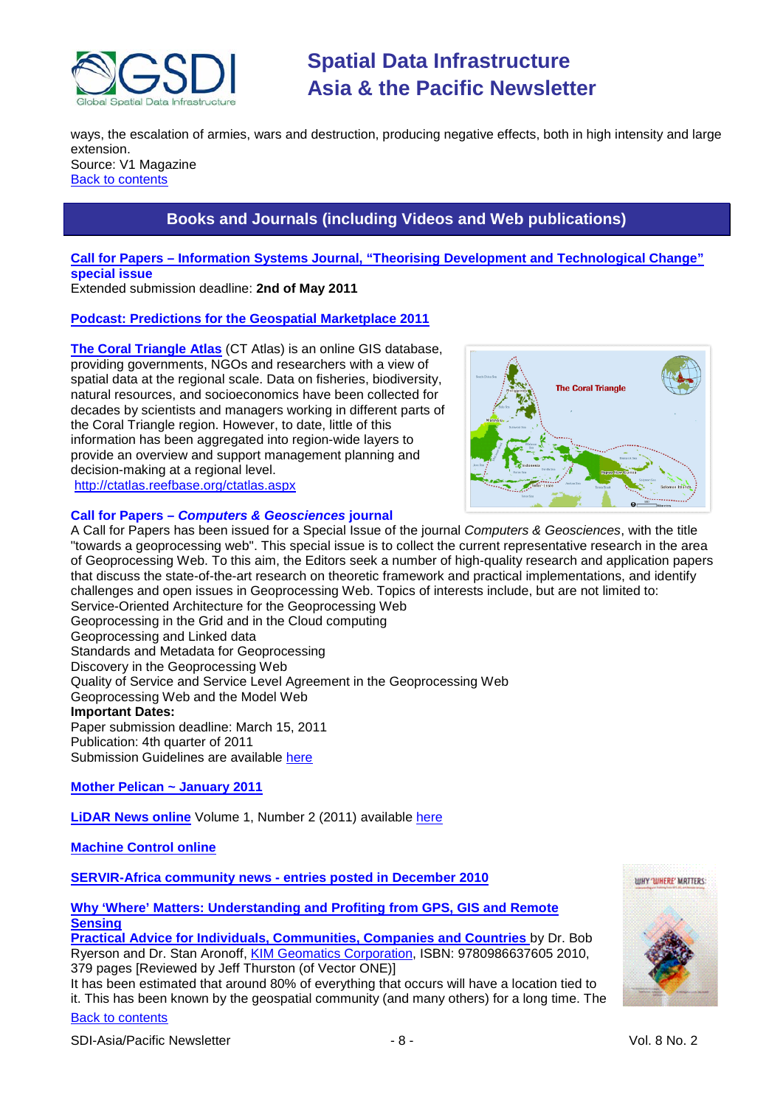

ways, the escalation of armies, wars and destruction, producing negative effects, both in high intensity and large extension. Source: V1 Magazine

<span id="page-7-0"></span>[Back to contents](#page-0-0)

## **Books and Journals (including Videos and Web publications)**

### **Call for Papers – [Information Systems Journal, "Theorising Development and Technological Change"](http://www.isj-editors.org/?p=300) special issue**

Extended submission deadline: **2nd of May 2011**

### **[Podcast: Predictions for the Geospatial Marketplace 2011](http://www.directionsmag.com/podcasts/podcast-predictions-for-the-geospatial-marketplace-2011/147722)**

**[The Coral Triangle Atlas](http://ctatlas.reefbase.org/about.aspx)** (CT Atlas) is an online GIS database, providing governments, NGOs and researchers with a view of spatial data at the regional scale. Data on fisheries, biodiversity, natural resources, and socioeconomics have been collected for decades by scientists and managers working in different parts of the Coral Triangle region. However, to date, little of this information has been aggregated into region-wide layers to provide an overview and support management planning and decision-making at a regional level. [http://ctatlas.reefbase.org/ctatlas.aspx](https://owa.unimelb.edu.au/exchweb/bin/redir.asp?URL=http://ctatlas.reefbase.org/ctatlas.aspx)



### **Call for Papers –** *Computers & Geosciences* **journal**

A Call for Papers has been issued for a Special Issue of the journal *Computers & Geosciences*, with the title "towards a geoprocessing web". This special issue is to collect the current representative research in the area of Geoprocessing Web. To this aim, the Editors seek a number of high-quality research and application papers that discuss the state-of-the-art research on theoretic framework and practical implementations, and identify challenges and open issues in Geoprocessing Web. Topics of interests include, but are not limited to: Service-Oriented Architecture for the Geoprocessing Web Geoprocessing in the Grid and in the Cloud computing Geoprocessing and Linked data Standards and Metadata for Geoprocessing Discovery in the Geoprocessing Web Quality of Service and Service Level Agreement in the Geoprocessing Web Geoprocessing Web and the Model Web **Important Dates:** Paper submission deadline: March 15, 2011 Publication: 4th quarter of 2011 Submission Guidelines are available [here](http://ees.elsevier.com/cageo/default.asp)

### **[Mother Pelican ~ January 2011](http://www.pelicanweb.org/solisustv07n01page1.html)**

**[LiDAR News online](http://www.lidarnews.com/)** Volume 1, Number 2 (2011) available [here](http://www.lidarnews.com/newsletter/Vol1No2.htm)

### **[Machine Control online](http://www.machinecontrolonline.com/)**

**[SERVIR-Africa community news -](http://www.servir.net/africa/index.php?option=com_mamblog&Itemid=54&task=show&action=all&id=0&ignorecount=1) entries posted in December 2010**

**[Why 'Where' Matters: Understanding and Profiting from GPS, GIS and Remote](http://www.vector1media.com/article/book-review/why-where-matters-080117802)  [Sensing](http://www.vector1media.com/article/book-review/why-where-matters-080117802)**

**[Practical Advice for Individuals, Communities, Companies and Countries](http://www.vector1media.com/article/book-review/why-where-matters-080117802)** by Dr. Bob Ryerson and Dr. Stan Aronoff[, KIM Geomatics Corporation,](http://kimgeomatics.com/) ISBN: 9780986637605 2010, 379 pages [Reviewed by Jeff Thurston (of Vector ONE)]

It has been estimated that around 80% of everything that occurs will have a location tied to it. This has been known by the geospatial community (and many others) for a long time. The

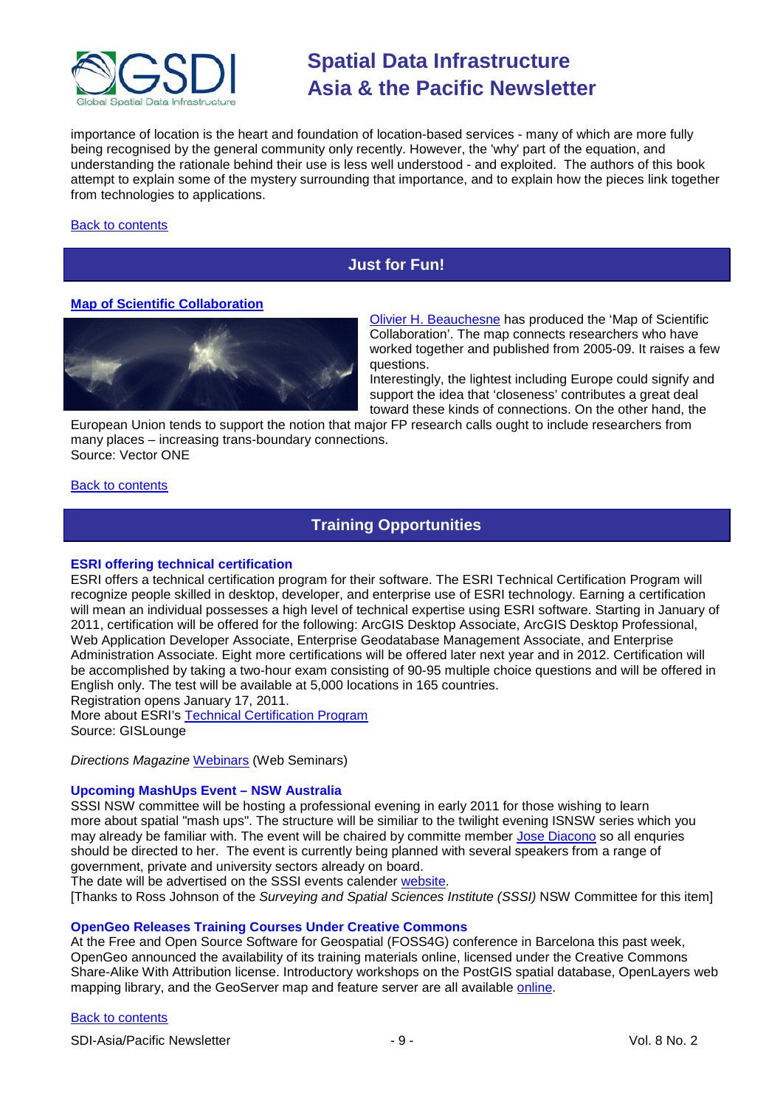

importance of location is the heart and foundation of location-based services - many of which are more fully being recognised by the general community only recently. However, the 'why' part of the equation, and understanding the rationale behind their use is less well understood - and exploited. The authors of this book attempt to explain some of the mystery surrounding that importance, and to explain how the pieces link together from technologies to applications.

### <span id="page-8-0"></span>[Back to contents](#page-0-0)

### **Just for Fun!**

### **[Map of Scientific Collaboration](http://www.vector1media.com/vectorone/?p=7217)**



[Olivier H. Beauchesne](http://olihb.com/2011/01/23/map-of-scientific-collaboration-between-researchers/) has produced the 'Map of Scientific Collaboration'. The map connects researchers who have worked together and published from 2005-09. It raises a few questions.

Interestingly, the lightest including Europe could signify and support the idea that 'closeness' contributes a great deal toward these kinds of connections. On the other hand, the

European Union tends to support the notion that major FP research calls ought to include researchers from many places – increasing trans-boundary connections. Source: Vector ONE

### <span id="page-8-1"></span>[Back to contents](#page-0-0)

### **Training Opportunities**

### **ESRI offering technical certification**

ESRI offers a technical certification program for their software. The ESRI Technical Certification Program will recognize people skilled in desktop, developer, and enterprise use of ESRI technology. Earning a certification will mean an individual possesses a high level of technical expertise using ESRI software. Starting in January of 2011, certification will be offered for the following: ArcGIS Desktop Associate, ArcGIS Desktop Professional, Web Application Developer Associate, Enterprise Geodatabase Management Associate, and Enterprise Administration Associate. Eight more certifications will be offered later next year and in 2012. Certification will be accomplished by taking a two-hour exam consisting of 90-95 multiple choice questions and will be offered in English only. The test will be available at 5,000 locations in 165 countries.

Registration opens January 17, 2011. More about ESRI's [Technical Certification Program](http://training.esri.com/certification/) Source: GISLounge

*Directions Magazine* [Webinars](http://www.directionsmag.com/webinars/) (Web Seminars)

### **Upcoming MashUps Event – NSW Australia**

SSSI NSW committee will be hosting a professional evening in early 2011 for those wishing to learn more about spatial "mash ups". The structure will be similiar to the twilight evening ISNSW series which you may already be familiar with. The event will be chaired by committe member [Jose Diacono](mailto:jose.diacono@communica.com.au) so all enquries should be directed to her. The event is currently being planned with several speakers from a range of government, private and university sectors already on board.

The date will be advertised on the SSSI events calender [website.](http://www.sssi.org.au/)

[Thanks to Ross Johnson of the *Surveying and Spatial Sciences Institute (SSSI)* NSW Committee for this item]

### **OpenGeo Releases Training Courses Under Creative Commons**

At the Free and Open Source Software for Geospatial (FOSS4G) conference in Barcelona this past week, OpenGeo announced the availability of its training materials online, licensed under the Creative Commons Share-Alike With Attribution license. Introductory workshops on the PostGIS spatial database, OpenLayers web mapping library, and the GeoServer map and feature server are all available [online.](http://www.workshops.opengeo.org/)

### [Back to contents](#page-0-0)

SDI-Asia/Pacific Newsletter  $\overline{9}$  - 9 -  $\overline{9}$  - 9 -  $\overline{9}$  Vol. 8 No. 2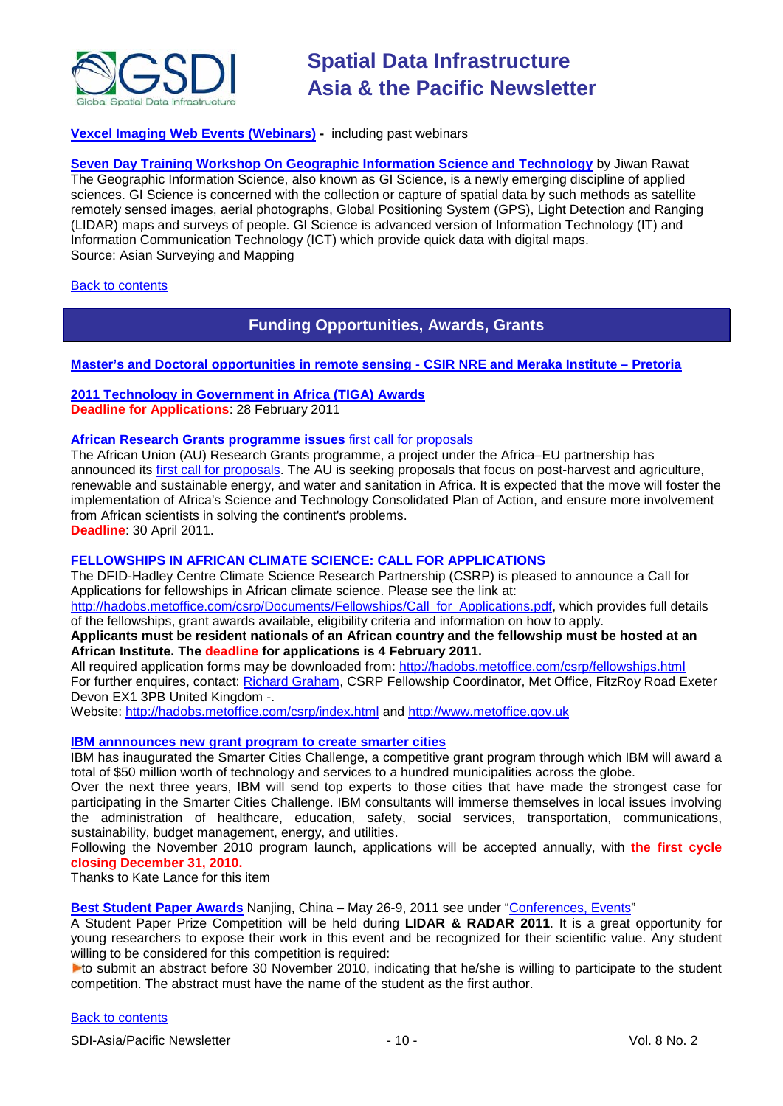

### **[Vexcel Imaging Web Events \(Webinars\)](http://www.microsoft.com/ultracam/en-us/WebEvents.aspx) -** including past webinars

**[Seven Day Training Workshop On Geographic Information Science and Technology](http://www.asmmag.com/features/feature/report-seven-day-training-workshop-on-geographic-information-science-and-technology-2801540)** by Jiwan Rawat The Geographic Information Science, also known as GI Science, is a newly emerging discipline of applied sciences. GI Science is concerned with the collection or capture of spatial data by such methods as satellite remotely sensed images, aerial photographs, Global Positioning System (GPS), Light Detection and Ranging (LIDAR) maps and surveys of people. GI Science is advanced version of Information Technology (IT) and Information Communication Technology (ICT) which provide quick data with digital maps. Source: Asian Surveying and Mapping

### <span id="page-9-0"></span>**[Back to contents](#page-0-0)**

### **Funding Opportunities, Awards, Grants**

### **[Master's and Doctoral opportunities in remote sensing -](http://www.csir.co.za/recruitment/NRE_Meraka_Nov.php) CSIR NRE and Meraka Institute – Pretoria**

### **2011 Technology in [Government in Africa \(TIGA\) Awards](http://www.uneca.org/istd/events/2011/TIGA/main.html) Deadline for Applications**: 28 February 2011

### **African Research Grants programme issues** first call for proposals

The African Union (AU) Research Grants programme, a project under the Africa–EU partnership has announced its [first call for proposals.](http://www.africahrst.org/stict/rgp/call2011.aspx) The AU is seeking proposals that focus on post-harvest and agriculture, renewable and sustainable energy, and water and sanitation in Africa. It is expected that the move will foster the implementation of Africa's Science and Technology Consolidated Plan of Action, and ensure more involvement from African scientists in solving the continent's problems. **Deadline**: 30 April 2011.

### **FELLOWSHIPS IN AFRICAN CLIMATE SCIENCE: CALL FOR APPLICATIONS**

The DFID-Hadley Centre Climate Science Research Partnership (CSRP) is pleased to announce a Call for Applications for fellowships in African climate science. Please see the link at:

[http://hadobs.metoffice.com/csrp/Documents/Fellowships/Call\\_for\\_Applications.pdf,](http://hadobs.metoffice.com/csrp/Documents/Fellowships/Call_for_Applications.pdf) which provides full details of the fellowships, grant awards available, eligibility criteria and information on how to apply.

### **Applicants must be resident nationals of an African country and the fellowship must be hosted at an African Institute. The deadline for applications is 4 February 2011.**

All required application forms may be downloaded from:<http://hadobs.metoffice.com/csrp/fellowships.html> For further enquires, contact: [Richard Graham,](mailto:csrp-fellowship-coord@metoffice.gov.uk) CSRP Fellowship Coordinator, Met Office, FitzRoy Road Exeter Devon EX1 3PB United Kingdom -.

Website:<http://hadobs.metoffice.com/csrp/index.html> and [http://www.metoffice.gov.uk](http://www.metoffice.gov.uk/)

### **[IBM annnounces new grant program to create smarter cities](http://www.smartercitieschallenge.org/)**

IBM has inaugurated the Smarter Cities Challenge, a competitive grant program through which IBM will award a total of \$50 million worth of technology and services to a hundred municipalities across the globe.

Over the next three years, IBM will send top experts to those cities that have made the strongest case for participating in the Smarter Cities Challenge. IBM consultants will immerse themselves in local issues involving the administration of healthcare, education, safety, social services, transportation, communications, sustainability, budget management, energy, and utilities.

Following the November 2010 program launch, applications will be accepted annually, with **the first cycle closing December 31, 2010.**

Thanks to Kate Lance for this item

**Best Student Paper Awards** Nanjing, China – May 26-9, 2011 see under "Conferences, Events"

A Student Paper Prize Competition will be held during **LIDAR & RADAR 2011**. It is a great opportunity for young researchers to expose their work in this event and be recognized for their scientific value. Any student willing to be considered for this competition is required:

**Lo** submit an abstract before 30 November 2010, indicating that he/she is willing to participate to the student competition. The abstract must have the name of the student as the first author.

### [Back to contents](#page-0-0)

SDI-Asia/Pacific Newsletter  $\sim$  10 - 10 - Vol. 8 No. 2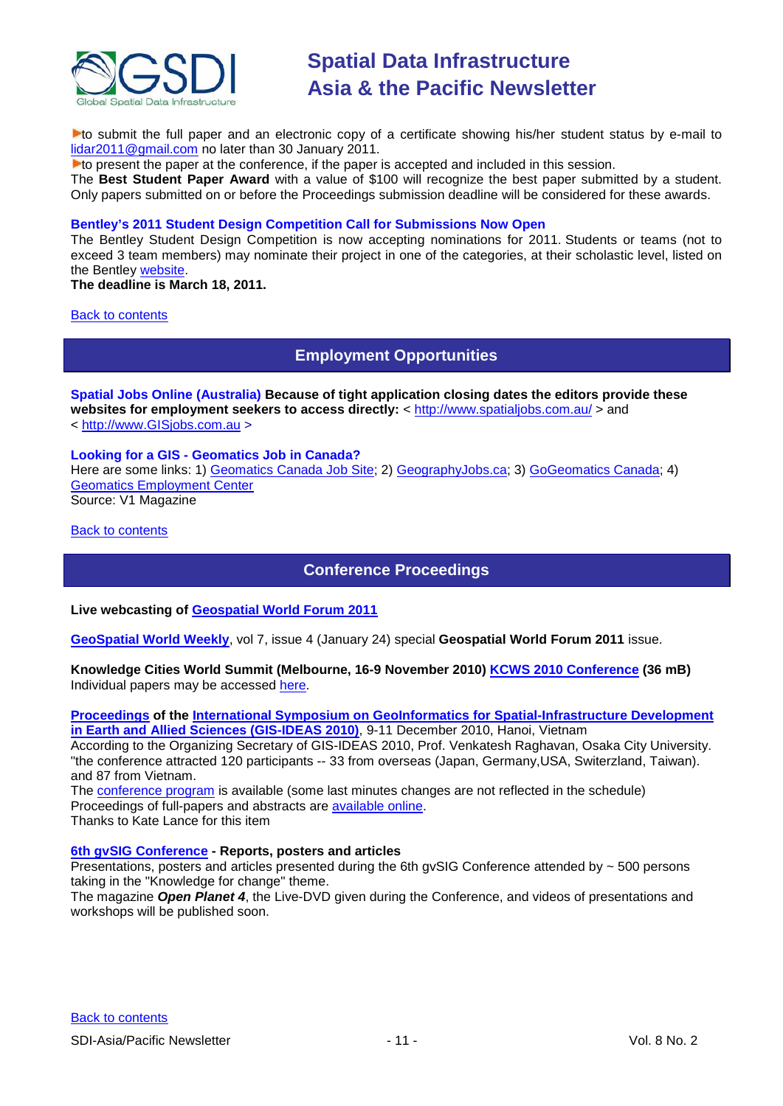

to submit the full paper and an electronic copy of a certificate showing his/her student status by e-mail to [lidar2011@gmail.com](mailto:lidar2011@gmail.com) no later than 30 January 2011.

**Lo** present the paper at the conference, if the paper is accepted and included in this session.

The **Best Student Paper Award** with a value of \$100 will recognize the best paper submitted by a student. Only papers submitted on or before the Proceedings submission deadline will be considered for these awards.

### **Bentley's 2011 Student Design Competition Call for Submissions Now Open**

The Bentley Student Design Competition is now accepting nominations for 2011. Students or teams (not to exceed 3 team members) may nominate their project in one of the categories, at their scholastic level, listed on the Bentley [website.](http://www.bentley.com/en-US/Corporate/News/Quarter+3/2011+Submissions.htm?BI=homepage&v=news+submissions)

**The deadline is March 18, 2011.**

### <span id="page-10-0"></span>[Back to contents](#page-0-0)

**Employment Opportunities**

**Spatial Jobs Online (Australia) Because of tight application closing dates the editors provide these websites for employment seekers to access directly:** <<http://www.spatialjobs.com.au/> > and < [http://www.GISjobs.com.au](http://www.gisjobs.com.au/) >

## **Looking for a GIS - Geomatics Job in Canada?**

Here are some links: 1) [Geomatics Canada Job Site;](http://geomaticscanada.com/jobs.cfm) 2) [GeographyJobs.ca;](http://www.geographyjobs.ca/) 3) [GoGeomatics Canada;](http://canada.gogeomatics.net/frmHome.aspx) 4) [Geomatics Employment Center](http://gisjobs.ca/)

Source: V1 Magazine

<span id="page-10-1"></span>[Back to contents](#page-0-0)

### **Conference Proceedings**

### **Live webcasting of [Geospatial World Forum 2011](http://www.geospatialworld.net/index.php?option=com_content&view=article&id=21376&Itemid=2130)**

**[GeoSpatial World Weekly](http://www.geospatialworld.net/newsletter/weekly_newsletter/jan2411.htm)**, vol 7, issue 4 (January 24) special **Geospatial World Forum 2011** issue.

### **Knowledge Cities World Summit (Melbourne, 16-9 November 2010) [KCWS 2010 Conference](http://www.melbourneknowledgesummit.com/portals/14/proceedings/summit-proceedings.html) (36 mB)** Individual papers may be accessed [here.](http://www.melbourneknowledgesummit.com/portals/14/proceedings/papers.html)

**[Proceedings](http://wgrass.media.osaka-cu.ac.jp/gisideas10/papers.php?first_letter=all) of the [International Symposium on GeoInformatics](http://wgrass.media.osaka-cu.ac.jp/gisideas10/) for Spatial-Infrastructure Development [in Earth and Allied Sciences \(GIS-IDEAS 2010\)](http://wgrass.media.osaka-cu.ac.jp/gisideas10/)**, 9-11 December 2010, Hanoi, Vietnam

According to the Organizing Secretary of GIS-IDEAS 2010, Prof. Venkatesh Raghavan, Osaka City University. "the conference attracted 120 participants -- 33 from overseas (Japan, Germany,USA, Switerzland, Taiwan). and 87 from Vietnam.

The [conference program](http://wgrass.media.osaka-cu.ac.jp/gisideas10/schedule.php) is available (some last minutes changes are not reflected in the schedule) Proceedings of full-papers and abstracts are [available online.](http://wgrass.media.osaka-cu.ac.jp/gisideas10/papers.php?first_letter=all) Thanks to Kate Lance for this item

### **[6th gvSIG Conference](http://jornadas.gvsig.org/comunicaciones/reports) - Reports, posters and articles**

Presentations, posters and articles presented during the 6th gvSIG Conference attended by  $\sim$  500 persons taking in the "Knowledge for change" theme.

The magazine *Open Planet 4*, the Live-DVD given during the Conference, and videos of presentations and workshops will be published soon.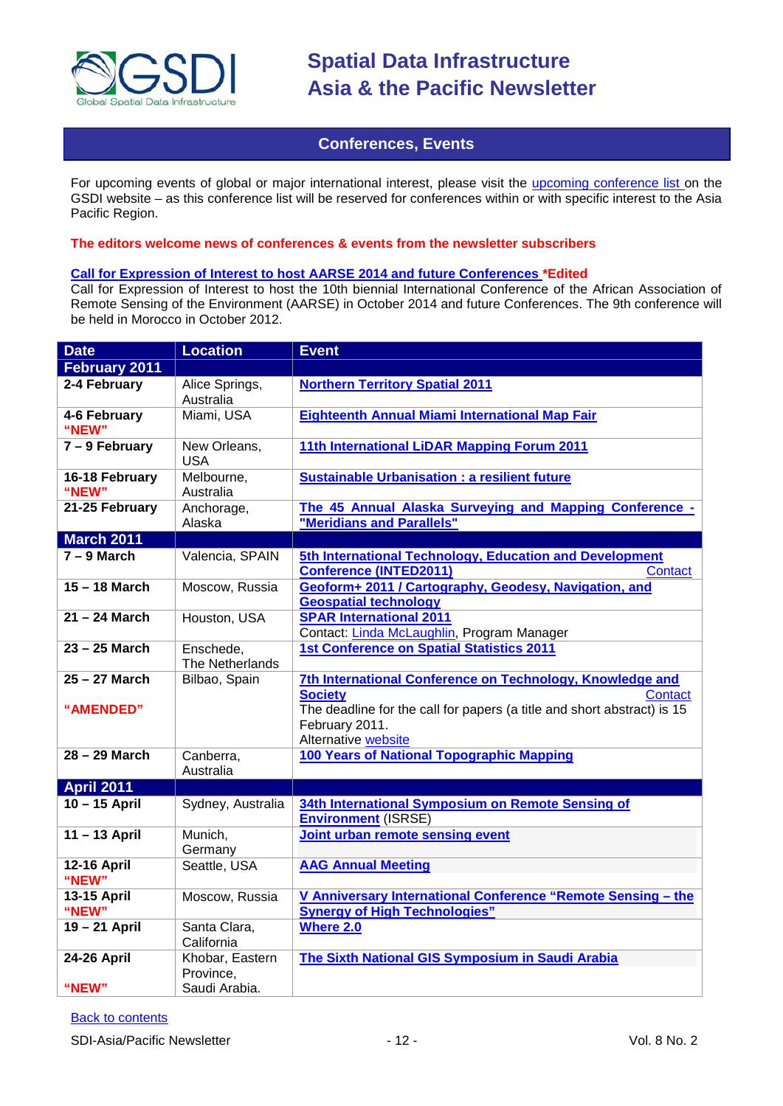

### **Conferences, Events**

<span id="page-11-0"></span>For upcoming events of global or major international interest, please visit the [upcoming conference list o](http://gsdi.org/events/upcnf.asp)n the GSDI website – as this conference list will be reserved for conferences within or with specific interest to the Asia Pacific Region.

### **The editors welcome news of conferences & events from the newsletter subscribers**

### **Call for Expression of Interest to host AARSE 2014 and future Conferences \*Edited**

Call for Expression of Interest to host the 10th biennial International Conference of the African Association of Remote Sensing of the Environment (AARSE) in October 2014 and future Conferences. The 9th conference will be held in Morocco in October 2012.

| <b>Date</b>                 | <b>Location</b>              | <b>Event</b>                                                                                                                                                                                               |
|-----------------------------|------------------------------|------------------------------------------------------------------------------------------------------------------------------------------------------------------------------------------------------------|
| February 2011               |                              |                                                                                                                                                                                                            |
| 2-4 February                | Alice Springs,<br>Australia  | <b>Northern Territory Spatial 2011</b>                                                                                                                                                                     |
| 4-6 February<br>"NEW"       | Miami, USA                   | Eighteenth Annual Miami International Map Fair                                                                                                                                                             |
| $7 - 9$ February            | New Orleans,<br><b>USA</b>   | 11th International LiDAR Mapping Forum 2011                                                                                                                                                                |
| 16-18 February<br>"NEW"     | Melbourne,<br>Australia      | <b>Sustainable Urbanisation : a resilient future</b>                                                                                                                                                       |
| 21-25 February              | Anchorage,<br>Alaska         | The 45 Annual Alaska Surveying and Mapping Conference -<br>"Meridians and Parallels"                                                                                                                       |
| <b>March 2011</b>           |                              |                                                                                                                                                                                                            |
| $7 - 9$ March               | Valencia, SPAIN              | 5th International Technology, Education and Development<br><b>Conference (INTED2011)</b><br>Contact                                                                                                        |
| $15 - 18$ March             | Moscow, Russia               | Geoform+ 2011 / Cartography, Geodesy, Navigation, and<br><b>Geospatial technology</b>                                                                                                                      |
| $21 - 24$ March             | Houston, USA                 | <b>SPAR International 2011</b><br>Contact: Linda McLaughlin, Program Manager                                                                                                                               |
| $23 - 25$ March             | Enschede,<br>The Netherlands | 1st Conference on Spatial Statistics 2011                                                                                                                                                                  |
| 25 - 27 March<br>"AMENDED"  | Bilbao, Spain                | 7th International Conference on Technology, Knowledge and<br><b>Society</b><br>Contact<br>The deadline for the call for papers (a title and short abstract) is 15<br>February 2011.<br>Alternative website |
| $28 - 29$ March             | Canberra,<br>Australia       | 100 Years of National Topographic Mapping                                                                                                                                                                  |
| <b>April 2011</b>           |                              |                                                                                                                                                                                                            |
| $10 - 15$ April             | Sydney, Australia            | 34th International Symposium on Remote Sensing of<br><b>Environment (ISRSE)</b>                                                                                                                            |
| 11-13 April                 | Munich,<br>Germany           | Joint urban remote sensing event                                                                                                                                                                           |
| <b>12-16 April</b><br>"NEW" | Seattle, USA                 | <b>AAG Annual Meeting</b>                                                                                                                                                                                  |
| 13-15 April<br>"NEW"        | Moscow, Russia               | V Anniversary International Conference "Remote Sensing - the<br><b>Synergy of High Technologies"</b>                                                                                                       |
| 19-21 April                 | Santa Clara,<br>California   | Where 2.0                                                                                                                                                                                                  |
| <b>24-26 April</b>          | Khobar, Eastern<br>Province, | The Sixth National GIS Symposium in Saudi Arabia                                                                                                                                                           |
| "NEW"                       | Saudi Arabia.                |                                                                                                                                                                                                            |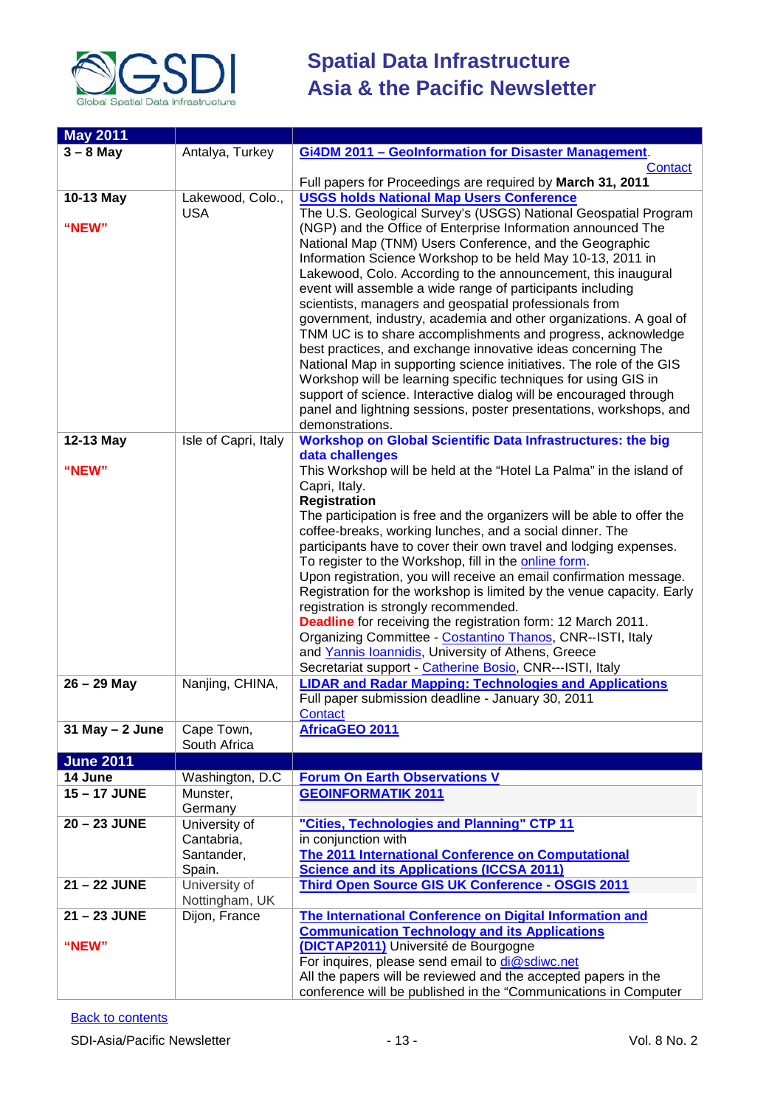

| <b>May 2011</b>     |                                                     |                                                                                                                                                                                                                                                                                                                                                                                                                                                                                                                                                                                                                                                                                                                                                                                                                                                                                                                                                               |
|---------------------|-----------------------------------------------------|---------------------------------------------------------------------------------------------------------------------------------------------------------------------------------------------------------------------------------------------------------------------------------------------------------------------------------------------------------------------------------------------------------------------------------------------------------------------------------------------------------------------------------------------------------------------------------------------------------------------------------------------------------------------------------------------------------------------------------------------------------------------------------------------------------------------------------------------------------------------------------------------------------------------------------------------------------------|
| $3 - 8$ May         | Antalya, Turkey                                     | Gi4DM 2011 - Geolnformation for Disaster Management.                                                                                                                                                                                                                                                                                                                                                                                                                                                                                                                                                                                                                                                                                                                                                                                                                                                                                                          |
|                     |                                                     | Contact<br>Full papers for Proceedings are required by March 31, 2011                                                                                                                                                                                                                                                                                                                                                                                                                                                                                                                                                                                                                                                                                                                                                                                                                                                                                         |
| 10-13 May           | Lakewood, Colo.,                                    | <b>USGS holds National Map Users Conference</b>                                                                                                                                                                                                                                                                                                                                                                                                                                                                                                                                                                                                                                                                                                                                                                                                                                                                                                               |
| "NEW"               | <b>USA</b>                                          | The U.S. Geological Survey's (USGS) National Geospatial Program<br>(NGP) and the Office of Enterprise Information announced The<br>National Map (TNM) Users Conference, and the Geographic<br>Information Science Workshop to be held May 10-13, 2011 in<br>Lakewood, Colo. According to the announcement, this inaugural<br>event will assemble a wide range of participants including<br>scientists, managers and geospatial professionals from<br>government, industry, academia and other organizations. A goal of<br>TNM UC is to share accomplishments and progress, acknowledge<br>best practices, and exchange innovative ideas concerning The<br>National Map in supporting science initiatives. The role of the GIS<br>Workshop will be learning specific techniques for using GIS in<br>support of science. Interactive dialog will be encouraged through<br>panel and lightning sessions, poster presentations, workshops, and<br>demonstrations. |
| 12-13 May           | Isle of Capri, Italy                                | <b>Workshop on Global Scientific Data Infrastructures: the big</b><br>data challenges                                                                                                                                                                                                                                                                                                                                                                                                                                                                                                                                                                                                                                                                                                                                                                                                                                                                         |
| "NEW"               |                                                     | This Workshop will be held at the "Hotel La Palma" in the island of<br>Capri, Italy.<br><b>Registration</b><br>The participation is free and the organizers will be able to offer the<br>coffee-breaks, working lunches, and a social dinner. The<br>participants have to cover their own travel and lodging expenses.<br>To register to the Workshop, fill in the online form.<br>Upon registration, you will receive an email confirmation message.<br>Registration for the workshop is limited by the venue capacity. Early<br>registration is strongly recommended.<br>Deadline for receiving the registration form: 12 March 2011.<br>Organizing Committee - Costantino Thanos, CNR--ISTI, Italy<br>and Yannis Ioannidis, University of Athens, Greece<br>Secretariat support - Catherine Bosio, CNR---ISTI, Italy                                                                                                                                       |
| $26 - 29$ May       | Nanjing, CHINA,                                     | <b>LIDAR and Radar Mapping: Technologies and Applications</b><br>Full paper submission deadline - January 30, 2011<br>Contact                                                                                                                                                                                                                                                                                                                                                                                                                                                                                                                                                                                                                                                                                                                                                                                                                                 |
| $31$ May $- 2$ June | Cape Town,<br>South Africa                          | <b>AfricaGEO 2011</b>                                                                                                                                                                                                                                                                                                                                                                                                                                                                                                                                                                                                                                                                                                                                                                                                                                                                                                                                         |
| <b>June 2011</b>    |                                                     |                                                                                                                                                                                                                                                                                                                                                                                                                                                                                                                                                                                                                                                                                                                                                                                                                                                                                                                                                               |
| 14 June             | Washington, D.C.                                    | <b>Forum On Earth Observations V</b>                                                                                                                                                                                                                                                                                                                                                                                                                                                                                                                                                                                                                                                                                                                                                                                                                                                                                                                          |
| 15-17 JUNE          | Munster,<br>Germany                                 | <b>GEOINFORMATIK 2011</b>                                                                                                                                                                                                                                                                                                                                                                                                                                                                                                                                                                                                                                                                                                                                                                                                                                                                                                                                     |
| 20 - 23 JUNE        | University of<br>Cantabria,<br>Santander,<br>Spain. | "Cities, Technologies and Planning" CTP 11<br>in conjunction with<br><b>The 2011 International Conference on Computational</b><br><b>Science and its Applications (ICCSA 2011)</b>                                                                                                                                                                                                                                                                                                                                                                                                                                                                                                                                                                                                                                                                                                                                                                            |
| 21 - 22 JUNE        | University of                                       | Third Open Source GIS UK Conference - OSGIS 2011                                                                                                                                                                                                                                                                                                                                                                                                                                                                                                                                                                                                                                                                                                                                                                                                                                                                                                              |
| 21-23 JUNE          | Nottingham, UK                                      |                                                                                                                                                                                                                                                                                                                                                                                                                                                                                                                                                                                                                                                                                                                                                                                                                                                                                                                                                               |
|                     | Dijon, France                                       | The International Conference on Digital Information and<br><b>Communication Technology and its Applications</b>                                                                                                                                                                                                                                                                                                                                                                                                                                                                                                                                                                                                                                                                                                                                                                                                                                               |
| "NEW"               |                                                     | (DICTAP2011) Université de Bourgogne                                                                                                                                                                                                                                                                                                                                                                                                                                                                                                                                                                                                                                                                                                                                                                                                                                                                                                                          |
|                     |                                                     | For inquires, please send email to di@sdiwc.net                                                                                                                                                                                                                                                                                                                                                                                                                                                                                                                                                                                                                                                                                                                                                                                                                                                                                                               |
|                     |                                                     | All the papers will be reviewed and the accepted papers in the<br>conference will be published in the "Communications in Computer                                                                                                                                                                                                                                                                                                                                                                                                                                                                                                                                                                                                                                                                                                                                                                                                                             |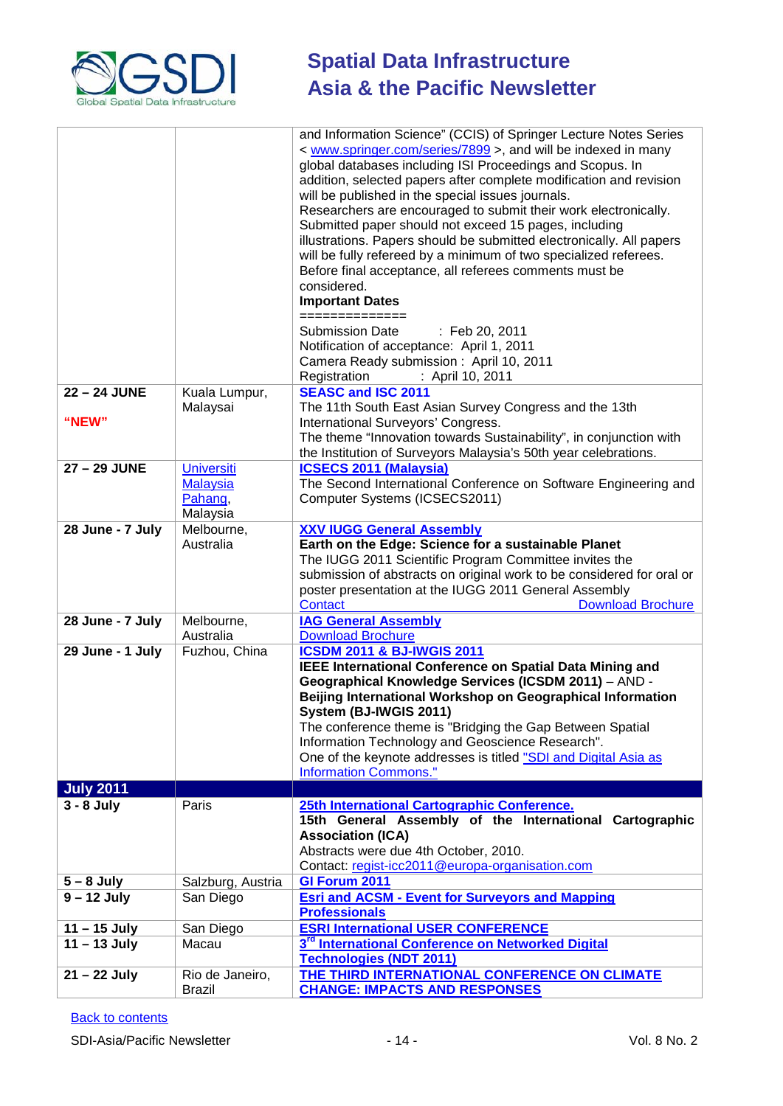

|                       |                                                             | and Information Science" (CCIS) of Springer Lecture Notes Series<br>< www.springer.com/series/7899 >, and will be indexed in many<br>global databases including ISI Proceedings and Scopus. In<br>addition, selected papers after complete modification and revision<br>will be published in the special issues journals.<br>Researchers are encouraged to submit their work electronically.<br>Submitted paper should not exceed 15 pages, including<br>illustrations. Papers should be submitted electronically. All papers<br>will be fully refereed by a minimum of two specialized referees.<br>Before final acceptance, all referees comments must be<br>considered.<br><b>Important Dates</b><br>==============<br><b>Submission Date</b><br>: Feb 20, 2011<br>Notification of acceptance: April 1, 2011<br>Camera Ready submission: April 10, 2011 |
|-----------------------|-------------------------------------------------------------|------------------------------------------------------------------------------------------------------------------------------------------------------------------------------------------------------------------------------------------------------------------------------------------------------------------------------------------------------------------------------------------------------------------------------------------------------------------------------------------------------------------------------------------------------------------------------------------------------------------------------------------------------------------------------------------------------------------------------------------------------------------------------------------------------------------------------------------------------------|
|                       |                                                             | Registration<br>: April 10, 2011                                                                                                                                                                                                                                                                                                                                                                                                                                                                                                                                                                                                                                                                                                                                                                                                                           |
| 22 - 24 JUNE<br>"NEW" | Kuala Lumpur,<br>Malaysai                                   | <b>SEASC and ISC 2011</b><br>The 11th South East Asian Survey Congress and the 13th<br>International Surveyors' Congress.<br>The theme "Innovation towards Sustainability", in conjunction with<br>the Institution of Surveyors Malaysia's 50th year celebrations.                                                                                                                                                                                                                                                                                                                                                                                                                                                                                                                                                                                         |
| 27 - 29 JUNE          | <b>Universiti</b><br><b>Malaysia</b><br>Pahang,<br>Malaysia | <b>ICSECS 2011 (Malaysia)</b><br>The Second International Conference on Software Engineering and<br>Computer Systems (ICSECS2011)                                                                                                                                                                                                                                                                                                                                                                                                                                                                                                                                                                                                                                                                                                                          |
| 28 June - 7 July      | Melbourne,<br>Australia                                     | <b>XXV IUGG General Assembly</b><br>Earth on the Edge: Science for a sustainable Planet<br>The IUGG 2011 Scientific Program Committee invites the<br>submission of abstracts on original work to be considered for oral or<br>poster presentation at the IUGG 2011 General Assembly<br>Contact<br><b>Download Brochure</b>                                                                                                                                                                                                                                                                                                                                                                                                                                                                                                                                 |
| 28 June - 7 July      | Melbourne,<br>Australia                                     | <b>IAG General Assembly</b><br><b>Download Brochure</b>                                                                                                                                                                                                                                                                                                                                                                                                                                                                                                                                                                                                                                                                                                                                                                                                    |
| 29 June - 1 July      | Fuzhou, China                                               | <b>ICSDM 2011 &amp; BJ-IWGIS 2011</b><br><b>IEEE International Conference on Spatial Data Mining and</b><br>Geographical Knowledge Services (ICSDM 2011) - AND -<br>Beijing International Workshop on Geographical Information<br>System (BJ-IWGIS 2011)<br>The conference theme is "Bridging the Gap Between Spatial<br>Information Technology and Geoscience Research".<br>One of the keynote addresses is titled "SDI and Digital Asia as<br><b>Information Commons."</b>                                                                                                                                                                                                                                                                                                                                                                               |
| <b>July 2011</b>      |                                                             |                                                                                                                                                                                                                                                                                                                                                                                                                                                                                                                                                                                                                                                                                                                                                                                                                                                            |
| $3 - 8$ July          | Paris                                                       | 25th International Cartographic Conference.<br>15th General Assembly of the International Cartographic<br><b>Association (ICA)</b><br>Abstracts were due 4th October, 2010.<br>Contact: regist-icc2011@europa-organisation.com                                                                                                                                                                                                                                                                                                                                                                                                                                                                                                                                                                                                                             |
| $5 - 8$ July          | Salzburg, Austria                                           | <b>GI Forum 2011</b>                                                                                                                                                                                                                                                                                                                                                                                                                                                                                                                                                                                                                                                                                                                                                                                                                                       |
| $9 - 12$ July         | San Diego                                                   | <b>Esri and ACSM - Event for Surveyors and Mapping</b><br><b>Professionals</b>                                                                                                                                                                                                                                                                                                                                                                                                                                                                                                                                                                                                                                                                                                                                                                             |
| $11 - 15$ July        | San Diego                                                   | <b>ESRI International USER CONFERENCE</b>                                                                                                                                                                                                                                                                                                                                                                                                                                                                                                                                                                                                                                                                                                                                                                                                                  |
| $11 - 13$ July        | Macau                                                       | 3 <sup>rd</sup> International Conference on Networked Digital<br><b>Technologies (NDT 2011)</b>                                                                                                                                                                                                                                                                                                                                                                                                                                                                                                                                                                                                                                                                                                                                                            |
| $21 - 22$ July        | Rio de Janeiro,<br><b>Brazil</b>                            | THE THIRD INTERNATIONAL CONFERENCE ON CLIMATE<br><b>CHANGE: IMPACTS AND RESPONSES</b>                                                                                                                                                                                                                                                                                                                                                                                                                                                                                                                                                                                                                                                                                                                                                                      |